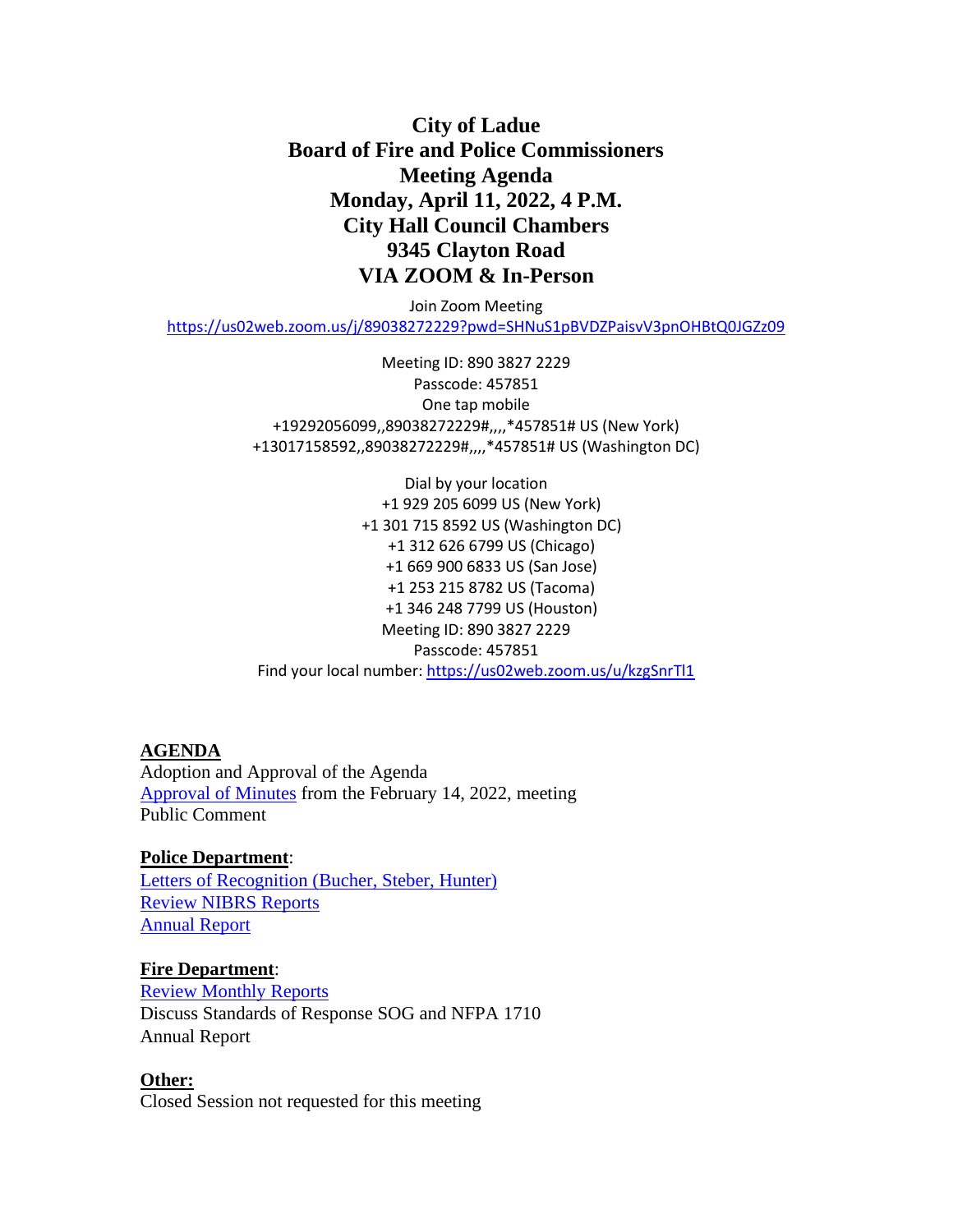# **City of Ladue Board of Fire and Police Commissioners Meeting Agenda Monday, April 11, 2022, 4 P.M. City Hall Council Chambers 9345 Clayton Road VIA ZOOM & In-Person**

Join Zoom Meeting <https://us02web.zoom.us/j/89038272229?pwd=SHNuS1pBVDZPaisvV3pnOHBtQ0JGZz09>

> Meeting ID: 890 3827 2229 Passcode: 457851 One tap mobile +19292056099,,89038272229#,,,,\*457851# US (New York) +13017158592,,89038272229#,,,,\*457851# US (Washington DC)

Dial by your location +1 929 205 6099 US (New York) +1 301 715 8592 US (Washington DC) +1 312 626 6799 US (Chicago) +1 669 900 6833 US (San Jose) +1 253 215 8782 US (Tacoma) +1 346 248 7799 US (Houston) Meeting ID: 890 3827 2229 Passcode: 457851 Find your local number:<https://us02web.zoom.us/u/kzgSnrTl1>

### **AGENDA**

Adoption and Approval of the Agenda [Approval of Minutes](https://www.cityofladue-mo.gov/mm/files/2022/Fire%20Police%20Board/2022.02.14%20Meeting%20Minutes.pdf) from the February 14, 2022, meeting Public Comment

## **Police Department**:

[Letters of Recognition \(Bucher, Steber, Hunter\)](https://www.cityofladue-mo.gov/mm/files/2022/Fire%20Police%20Board/Certificates%20of%20Recognition.pdf) Review [NIBRS Reports](https://www.cityofladue-mo.gov/mm/files/2022/Fire%20Police%20Board/NIBRS%20Report.pdf) [Annual Report](https://www.cityofladue-mo.gov/mm/files/2022/Fire%20Police%20Board/PD%202021%20Annual%20Report.pdf)

#### **Fire Department**:

Review [Monthly](https://www.cityofladue-mo.gov/mm/files/2022/Fire%20Police%20Board/FD%20FireandPolicePacket%204.4.2022.pdf) Reports Discuss Standards of Response SOG and NFPA 1710 Annual Report

#### **Other:**

Closed Session not requested for this meeting